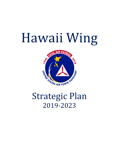# Hawaii Wing



# **Strategic Plan** 2019-2023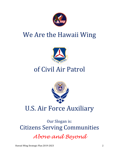

## We Are the Hawaii Wing



# of Civil Air Patrol



## **U.S. Air Force Auxiliary**

Our Slogan is: **Citizens Serving Communities** 

*Above and Beyond*

Hawaii Wing Strategic Plan 2019-2023 2018 2018 2019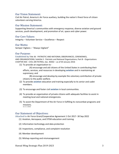#### Our Vision Statement:

Civil Air Patrol, America's Air Force auxiliary, building the nation's finest force of citizen volunteers serving America.

#### Our Mission Statement:

Supporting America's communities with emergency response, diverse aviation and ground services, youth development, and promotion of air, space and cyber power.

#### Our Core Values:

Integrity – Volunteer Service – Excellence – Respect

#### Our Motto:

Semper Vigilans - "Always Vigilant"

#### Our Purpose:

Established by Title 36 - PATRIOTIC AND NATIONAL OBSERVANCES, CEREMONIES, AND ORGANIZATIONS; Subtitle II - Patriotic and National Organizations; Part B - Organizations CHAPTER 403 - CIVIL AIR PATROL; Sec. 40302 - as of 03 January 2016

(1) To provide an organization to -

(A) encourage and aid citizens of the United States in contributing their efforts, services, and resources in developing aviation and in maintaining air supremacy; and

(B) encourage and develop by example the voluntary contribution of private citizens to the public welfare.

- (2) To provide *aviation* education and training especially to its senior and cadet members.
- (3) To encourage and foster civil aviation in local communities.
- (4) To provide an organization of private citizens with adequate facilities to assist in meeting local and national emergencies.
- (5) To assist the Department of the Air Force in fulfilling its noncombat programs and missions. 36 U.S.C. §40302

#### Our Statement of Objectives:

Attached to Air Force Grant/Cooperative Agreement 1 Oct 2017- 30 Sep 2022

- (1) Aviation, Aerospace, and STEM education and training
- (2) Information technology and data protection
- (3) Inspections, compliance, and complaint resolution
- (4) Member development
- (5) Mishap reporting and mismanagement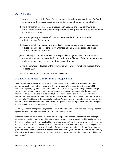#### **Our Priorities**

- (1) Be a vigorous part of the Total Force enhance the relationship with our USAF and contribute to their mission accomplishment as a cost effective force multiplier.
- $(2)$  Build Partnerships increase our presence in national and local communities to better serve America and expand our portfolio to incorporate new missions for which we are ideally suited.
- (3) Inspire ingenuity  $-$  increase efficiencies in time and effort to enhance the effectiveness of CAP members.
- (4) Be America's STEM leader promote CAP's recognition as a leader in Aerospace Education and Science, Technology, Engineering and Math education to meet America's needs of tomorrow.
- (5) Make being a CAP member even more special recognize the value and talent of each CAP member; increase the fun and enhance fulfillment of the CAP experience to make members want to stay and others to want to join.
- $(6)$  Build the future develop CAP's organizational as well as functional leaders, from cadet to CEO.
- (7) Set the example  $-$  sustain institutional excellence.

#### From Civil Air Patrol's 2016-2020 Strategic Plan:

"Our Civil Air Patrol has an amazing history. It all started with members of local communities answering a call to serve their nation and their neighbors. We've been doing this since  $1941$ transforming everyday people into hometown heroes. Surprisingly, even though most would agree we're not our father's CAP anymore, our missions and principles are essentially the same as in December of 1941. Missions such as coastal/border patrol, search and rescue, natural disaster support, air defense support, fire spotting, and flight/ground training of military members are still in our portfolio. The biggest differences between today's missions and those of our early years are the resources with which we conduct the missions, our partners requesting our services, and the speed in which decision makers require our products.

As an organization charged by Congress to serve our Nation and her communities, it's important to synchronize our strategic vision with that of our mission partners.

From the White House to each CAP Wing, select components of each subordinate plan are aligned (when applicable) to complement like elements of higher echelon strategies. Additionally, each plan has tailored elements that are applicable only to that organization. This is our vision of what we want our Civil Air Patrol to be in five years. This plan serves to guide all CAP members in shaping who we are as an organization and how we'll conduct future programs and missions. As our North Star, this plan aids decision making to save our scarce resources, namely funding, effort and time. In essence, if an initiative does not directly contribute to one of our priorities, then the initiative should not be supported. "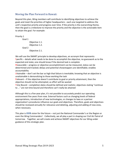#### Moving the Plan Forward in Hawaii:

Beyond this plan, Wing members will contribute to identifying objectives to achieve the goals and meet the priorities of higher headquarters - each one targeted to address the unit's respective priority and progress over time. If the priority is the overarching theme, then the goal is a milestone to improve the priority and the objective is the actionable item to attain the goal. For example:

Priority 1

```
Goal 1
       Objective 1.1.
       Objective 1.2.
Goal 2
       Objective 2.1.
```
We will use the SMART principle to develop objectives, an acronym that represents: Specific – details what needs to be done to accomplish the objective, no guesswork as to the expected end state; one should know if the desired task is complete

Measurable – progress or objective accomplishment can be measured, status can be determined and tracked; delays and potential showstoppers are identifiable; enables accountability 

Attainable – don't set the bar so high that failure is inevitable; knowing that an objective is unattainable is demoralizing to those working the task

Relevant  $-$  if the objective doesn't contribute to goal or priority attainment, then the objective should not be attempted, as effort will be wasted

Time Bound – completion dates should be defined and realistic; objectives stating "continue" to ..." are not time bound and therefore can't really be attained

Although this is a five-year plan, it's not possible to accurately predict our operating environment five years from now. External factors such as changing levels of federal appropriations, introduction of new technologies, or changes to laws or a partner organization's procedures influence our goals and objectives. Therefore, goals and objectives should be reviewed annually for relevance and deleting, adjusting and adding of new ones, when necessary.

This plan is OUR vision for the future – not just the National Commander's or the Region or even the Wing Commanders'. Collectively, we all play a part in shaping our Civil Air Patrol of tomorrow. Together, we will create and achieve SMART objectives for our Wing under guidance of this strategic plan.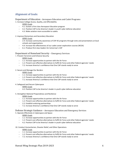#### Alignment of Goals:

Department of Education - Aerospace Education and Cadet Programs

1. Increase College Access, Quality, and Affordability

- **HIWG** Goals
- 4.1. Sustain a first class Aerospace Education program
- 4.2. Position CAP to be America's leader in youth cyber defense education
- 4.3. Make aviation more accessible to cadets

2. Improve Elementary and Secondary Education

**HIWG** Goals

- 2.4. Increase community awareness of CAP AE programs through visits and presentations at local schools and organizations
- 4.4. Increase the effectiveness of our cadet career exploration courses (NCSA)
- 6.1. Produce first class leaders for tomorrow's CAP

#### Department of Homeland Security - Emergency Services

1. Prevent Terrorism and Enhance Security

**HIWG** Goals

- 1.1. Increase opportunities to partner with the Air Force
- 1.2. Present cost effective alternatives to fulfill Air Force and other federal agencies' needs
- 7.2. Increase America's confidence that One CAP stands ready to serve
- 2. Secure and Manage Our Borders

**HIWG** Goals

- 1.1. Increase opportunities to partner with the Air Force
- 1.2. Present cost effective alternatives to fulfill Air Force and other federal agencies' needs
- 7.1. Increase America's confidence that One CAP stands ready to serve

4. Safeguard and Secure Cyberspace

#### **HIWG** Goals

- 4.2. Position CAP to be America's leader in youth cyber defense education
- 5. Strengthen National Preparedness and Resilience

#### **HIWG** Goals

- \* 1.1. Increase opportunities to partner with the Air Force
- 1.2. Present cost effective alternatives to fulfill Air Force and other federal agencies' needs
- 2.2. Establish enduring partnerships
- 7.2. Increase America's confidence that One CAP stands ready to serve

#### Defense Strategic Guidance – Aerospace Education and Emergency Services

5. Operate Effectively in Cyberspace and Space

#### **HIWG Goals**

- $\cdot$  1.1. Increase opportunities to partner with the Air Force
- 1.2. Present cost effective alternatives to fulfill Air Force and other federal agencies' needs
- 4.2. Position CAP to be America's leader in youth cyber defense education

#### 10. Conduct Humanitarian, Disaster Relief, and Other Operations

**HIWG** Goals

- $\cdot$  1.1. Increase opportunities to partner with the Air Force
- 1.2. Present cost effective alternatives to fulfill Air Force and other federal agencies' needs
- 7.2. Increase America's confidence that One CAP stands ready to serve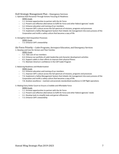#### DoD Strategic Management Plan – Emergency Services

1. Optimize DoD Personnel Through Actions Focusing on Readiness

#### **HIWG** Goals

- 1.1. Increase opportunities to partner with the Air Force
- 1.2. Present cost effective alternatives to fulfill Air Force and other federal agencies' needs
- 3.2. Enhance education and training of our members
- 7.2. Improve CAP's culture across the full spectrum of missions, programs and processes
- 7.4. Implement a Safety Management System that imbeds risk management into every process of the Corporation and instills a safety culture that becomes a way of life

#### 4. Strengthen DoD Acquisition Processes

#### **HIWG** Goals

7.3. Enhance CAP's stewardship

Air Force Priority – Cadet Programs, Aerospace Education, and Emergency Services 1. Develop and Care for Airmen and Their Families

**HIWG** Goals

- 5.2. Take care of our members
- 6.4. Enhance our portfolio of cadet leadership and character development activities
- 6.5. Support cadets in their efforts to improve their physical fitness
- 7.5. Maintain America's confidence in the CAP Cadet Program

#### 2. Balancing Readiness and Modernization

#### **HIWG** Goals

- $\cdot$  3.2. Enhance education and training of our members
- 7.1. Improve CAP's culture across the full spectrum of missions, programs and processes
- 7.4. Implement a Safety Management System that imbeds risk management into every process of the Corporation and instills a safety culture that becomes a way of life
- 7.8. Aviation excellence maintain and promote standardized excellence in CAP flight operations

#### 3. Making Every Dollar Count to Ensure a Credible and Affordable Force

**HIWG** Goals

- 1.1. Increase opportunities to partner with the Air Force
- 1.2. Present cost effective alternatives to fulfill Air Force and other federal agencies' needs
- 3.1. Develop tools to simplify tasks and garner efficiencies
- 7.3. Enhance CAP's stewardship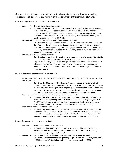#### Our overlying objective is to remain in continual compliance by clearly communicating expectations of leadership beginning with the distribution of this strategic plan and:

Increase College Access, Quality, and Affordability Goals

- Sustain a first class Aerospace Education program
	- Objective: All squadrons will integrate use of CAP STEM Kits into their annual AE Plan of Action. The HIWG Aerospace Education Team will develop quarterly wing wide activities using STEM Kits so all squadrons can experience and learn how to order, use, and report on kits. Activities will be scheduled during airlift weekends allowing access for all members beginning in Q2 FY 2019.
- Position CAP to be America's leader in youth cyber defense education
	- Objective: The HIWG Aerospace Education Team will create, maintain and publicize on the HIWG Website, a contact list for IT Specialists around Hawaii to serve as mentors and provide entry level jobs and job shadowing opportunities for cadets. The AE Team will survey squadrons twice a year to track how many cadets work or job shadow in IT related fields beginning Q2 FY 2019.
- Make aviation more accessible to cadets
	- Objective: Every squadron will have 3 pilots as resources to mentor cadets interested in aviation career fields by helping cadets access free memberships in Aviation Organizations, helping squadrons with flight simulator curriculum to support the cadet orientation ride curriculum, and share elective activities cadets can use to prepare themselves for a career in aviation. Squadrons will report mentoring sessions in their annual AE Report.

Improve Elementary and Secondary Education Goals

- Increase community awareness of CAP AE programs through visits and presentations at local schools and organizations
	- Objective: HIWG Professional Development Team will assist and mentor one Senior Officer per island per year in preparing and presenting a 10-minute presentation on CAP to school or professional organization beginning with back to school and club day events Q4 FY 2019. The PD Team will provide member feedback for improvement and report any continued partnerships or recruitment resulting from these presentations.
- Increase the effectiveness of our cadet career exploration courses (NCSA)
	- Objective: HIWG Cadet Programs Team will push out notifications via email and social media to announce upcoming due dates and NCSA opportunities beginning FY 2019. The CP Team will track and report number of cadets attending NCSA and find out why more are not attending. Future objectives will be based on FY 2019 findings.
- Produce first class leaders for tomorrow's CAP
	- Objective: HIWG Cadet Programs Team will conduct a cadet competition preparatory academy run by cadet officers and senior NOC's supervised by CP staff, and hold one wing cadet competition once per year run by CP staff. All training will occur on airlift weekends to make training available to all members wing wide beginning FY 2019.

Prevent Terrorism and Enhance Security Goals

- Increase opportunities to partner with the Air Force
	- Objective: Schedule quarterly meetings with Hickam Air Field to present training progress, review mission success, and present the Air Force with new partnering opportunities beginning with Q1 FY 2019.
- Present cost effective alternatives to fulfill Air Force and other federal agencies' needs
	- Objective: Increase the number of Lightening Forge Missions with the army from one in FY 2018 to three in FY 2019, four by FY 2021, and six per year by FY 2023.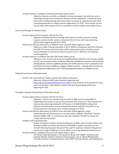- Increase America's confidence that One CAP stands ready to serve
	- Objective: Educate our pilots on available training and support two pilots per year in attending training on the mainland to improve mission capabilities. Incorporate these pilots when creating training and mission plans to present an experienced voice when communicating with our military partners beginning in FY 2019. Track mission success and use after action reports from our customers to track member and overall success.

Secure and Manage Our Borders Goals

- Increase opportunities to partner with the Air Force
	- Objective: Schedule quarterly meetings with Hickam Air Field to present training progress, review mission success, and present the Air Force with new partnering opportunities beginning with Q1 FY 2019.
- Present cost effective alternatives to fulfill Air Force and other federal agencies' needs
	- Objective: Create Training Committee in Q1 FY 2019 to incorporate input from all levels and offer ES aircrew and mission base staff training opportunities including remote areas utilizing fly ins and internet based resources such as Webinars and meeting services quarterly.
- Increase America's confidence that One CAP stands ready to serve
	- Objective: Train aircrew and secure five qualified Mission Pilots for each mission capable aircraft, and an equal number of Mission Observers and Mission Scanners and two aerial photographers, and two qualified operators per GIIEP system to ensure competent and professional aircrews available to support military missions. Training will be continuous and progressive beginning in Q2 FY 2019 growing with talents of available aircrew.

Safeguard and Secure Cyberspace Goals

- Position CAP to be America's leader in youth cyber defense education
	- Objective: Advance HIWG cyber education beginning with https://www.dhs.gov/stopthinkconnect-tookit incorporated into one quarterly AE wing event and provide a cyber defense seminar during all Hawaii Wing conferences beginning FY 2019.

Strengthen National Preparedness and Resilience Goals

- Increase opportunities to partner with the Air Force
	- Objective: Continue to maintain close ties with HI-EMA and all county EMA's in supporting local missions to assure they will utilize CAP resources in their Requests for Assistance by obtaining training for CAP liaisons in HI-EMA WebEOC software for efficient communications, and work beyond limitations outlined in the MOU to use funds beyond the restrictions of air missions starting in FY 2019.
- Present cost effective alternatives to fulfill Air Force and other federal agencies' needs
	- Standardize the way ES exercises are run and conduct tabletop "Workflow" sessions between AOBDs, OSC, IC, and LOs once per year starting in Q3 2019 to review and comply with the ICS system.
- Establish enduring partnerships
	- Sustain and improve release of state funding from HI-EMA, which includes FEMA funds, through an MOU currently in the amount of \$94,000 in support operations for the Tsunami Warning Evacuation Response Plan used for expenses related to Requests for Assistance through HI-EMA from County EMA's by securing advanced training for Los.
- Increase America's confidence that One CAP stands ready to serve
	- All islands shall participate in the quarterly Wing-level SAREX. Scenarios and tasking shall be varied to exercise mission goals such as Aerial Photography, Tsunami missions, Communications, Base Staff Training, Mutual-aid cooperation,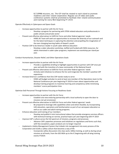ELT/EPIRB missions, etc. The ICP shall be rotated to each island to promote readiness and inter-island cooperation. Regular use of video and audio conference systems shall be promoted to facilitate inter-island communication and training for every WLE beginning FY 2019.

Operate Effectively in Cyberspace and Space Goals

- Increase opportunities to partner with the Air Force
	- Develop a program for partnering with STEM related educators and professionals in public schools and private sector
- Present cost effective alternatives to fulfill Air Force and other federal agencies' needs
	- HIWG AE Team will seek out opportunities to increase the diversity of our outreach and for the latest techniques in capturing the attention and propelling the imagination of the ever-changing learning habits of Hawaii's youth.
- Position CAP to be America's leader in youth cyber defense education
	- Develop a cyber education workshop, staffed and funded with NHQ resources, for adults interested in cadet cyber programs; implement one workshop per island per year.

Conduct Humanitarian, Disaster Relief, and Other Operations Goals

- Increase opportunities to partner with the Air Force
	- Provide a capabilities briefing to highlight opportunities to partner with CAP once per year and with the transition of a base commander of the National Guard
- Present cost effective alternatives to fulfill Air Force and other federal agencies' needs
	- Actively seek initiatives to enhance the fun and invigorate the member's positive CAP experience
- Increase America's confidence that One CAP stands ready to serve
	- HIWG will budget and plan to send at least one member of the Operations team to the National Conference per year beginning FY 2019 to learn about opportunities and develop training programs to maximize learning and competency while minimizing members' scarce participation time.

Optimize DoD Personnel Through Actions Focusing on Readiness Goals

- Increase opportunities to partner with the Air Force
	- Establish one new enduring partnership with a local authority to open the door to missions not yet envisioned.
- Present cost effective alternatives to fulfill Air Force and other federal agencies' needs
	- Be prepared to leverage UAS capabilities when and where feasible, by incorporating UAS education, operations and familiarization as part of our aerospace education as well as our cadet and adult training programs.
- Enhance education and training of our members
	- Develop and publish 4 mini instructional videos that provide emergency services officers with technical training on narrow, practical topics per year beginning with FY 2019
- Improve CAP's culture across the full spectrum of missions, programs and processes
	- Advance CAP's paperless processes and initiatives on regulations and forms such that, with few exceptions, paper products are no longer required
- Implement a Safety Management System that imbeds risk management into every process of the Corporation and instills a safety culture that becomes a way of life
	- Incorporate safety discussions into class work, SARex training, as well as during actual missions at all levels, from the GES MSA up to the IC beginning with all wing training events FY2019.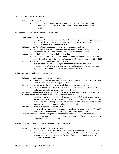Strengthen DoD Acquisition Processes Goals

- Enhance CAP's stewardship
	- Explore opportunities and implement measures to improve asset accountability, servicing of those assets and maximizing utilization with annual report to the commander

Develop and Care for Airmen and Their Families Goals

- Take care of our members
	- Show gratitude for contributions of all members including those who support missions from the sidelines, even when not advancing up the chain, with annual 'atta boy' summer barbeque bash beginning FY 2019
- Enhance our portfolio of cadet leadership and character development activities
	- Seek tools and publications that equip unit leaders with smart practices, recipe-like plans for fun activities, and practical skills for mentoring today's youth
- Support cadets in their efforts to improve their physical fitness
	- Encourage monthly inter squadron athletic activities and games for cadets to enjoy an active living style after main wing events during airlift weekends beginning Q3 FY 2019
- Maintain America's confidence in the CAP Cadet Program
	- Improve public visibility to TOP flights and Cadet O-rides via Public Affairs announcements of training for Glider tow pilots and orientation pilots as well as the flights themselves at least 2 times per year beginning FY 2019.

Balancing Readiness and Modernization Goals

- Enhance education and training of our members
	- Develop and include annual Psychological First Aid training to all members which will create a climate of resiliency beginning FY 2019
- Improve CAP's culture across the full spectrum of missions, programs and processes
	- Create an annual campaign that focuses attention on areas that may have lost attention and allows for dedicated funds in each annual budget
- Implement a Safety Management System that imbeds risk management into every process of the Corporation and instills a safety culture that becomes a way of life
	- Establish a process that imbeds the Directors of Safety or Safety Officer positions into the decision-making process to ensure Risk Management principles are applied to the initial design of, and changes to, systems, missions, events, activities, procedures and processes at the region, wing and subordinate unit levels
- Increase opportunities to partner with the Air Force
	- Foster a culture that inspires innovation and challenges members to ask the "what if" question and invite member innovation to explore new opportunities
- Aviation excellence maintain and promote standardized excellence in CAP flight operations
	- Introduce one new online tool or application for mobile and/or smart device users that improves CAP aircrews' efficiency

Making Every Dollar Count to Ensure a Credible and Affordable Force Goals

- Increase opportunities to partner with the Air Force
	- Extend invitations to military installation leadership within the state (active, Guard and Reserve) to observe CAP activities, especially those held on installations starting with two times in FY 2019 and growing to five times (once per quarter plus the wing conference/banquet) by FY 2022.